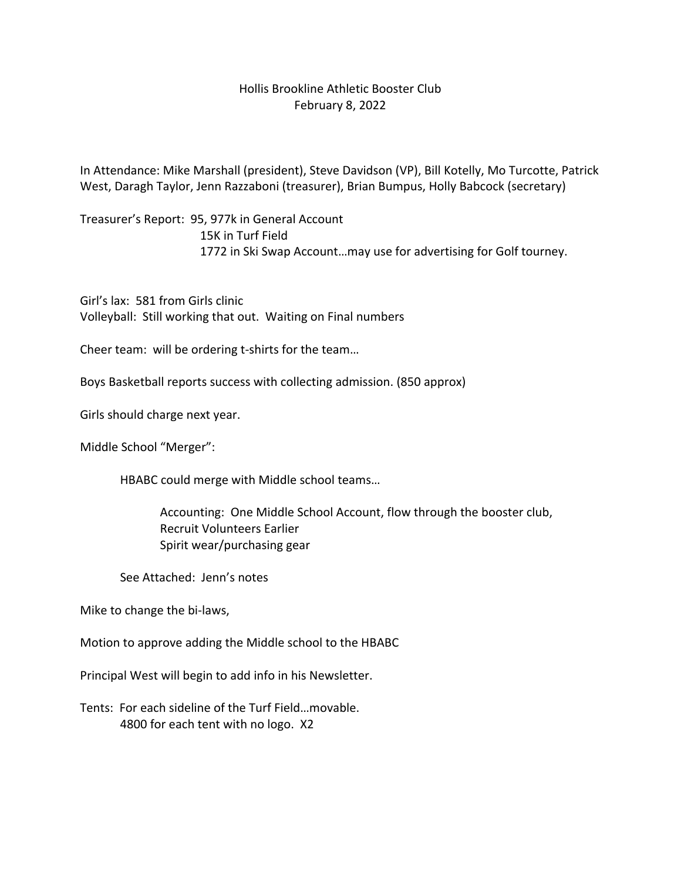## Hollis Brookline Athletic Booster Club February 8, 2022

In Attendance: Mike Marshall (president), Steve Davidson (VP), Bill Kotelly, Mo Turcotte, Patrick West, Daragh Taylor, Jenn Razzaboni (treasurer), Brian Bumpus, Holly Babcock (secretary)

Treasurer's Report: 95, 977k in General Account 15K in Turf Field 1772 in Ski Swap Account…may use for advertising for Golf tourney.

Girl's lax: 581 from Girls clinic Volleyball: Still working that out. Waiting on Final numbers

Cheer team: will be ordering t-shirts for the team…

Boys Basketball reports success with collecting admission. (850 approx)

Girls should charge next year.

Middle School "Merger":

HBABC could merge with Middle school teams…

Accounting: One Middle School Account, flow through the booster club, Recruit Volunteers Earlier Spirit wear/purchasing gear

See Attached: Jenn's notes

Mike to change the bi-laws,

Motion to approve adding the Middle school to the HBABC

Principal West will begin to add info in his Newsletter.

Tents: For each sideline of the Turf Field…movable. 4800 for each tent with no logo. X2